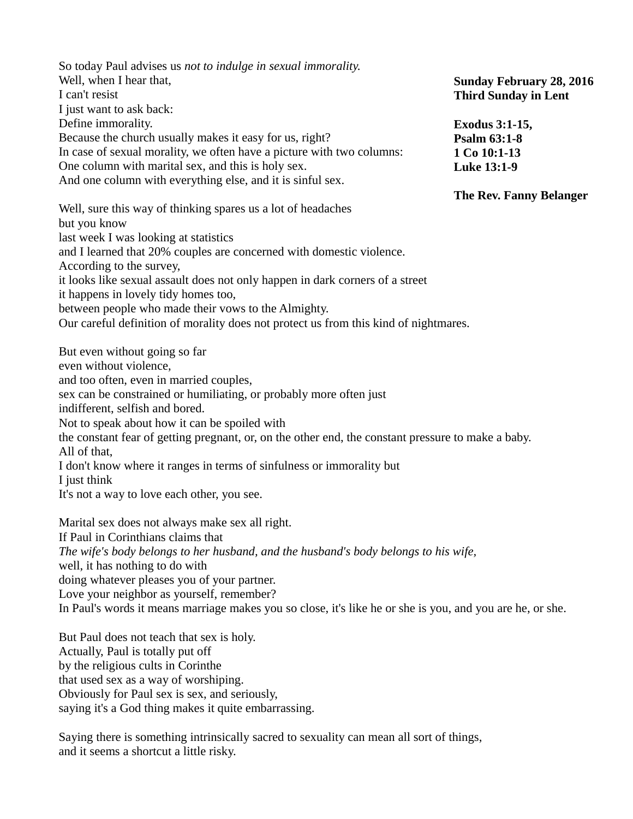So today Paul advises us *not to indulge in sexual immorality.* Well, when I hear that, I can't resist I just want to ask back: Define immorality. Because the church usually makes it easy for us, right? In case of sexual morality, we often have a picture with two columns: One column with marital sex, and this is holy sex. And one column with everything else, and it is sinful sex. Well, sure this way of thinking spares us a lot of headaches but you know last week I was looking at statistics and I learned that 20% couples are concerned with domestic violence. According to the survey, it looks like sexual assault does not only happen in dark corners of a street it happens in lovely tidy homes too, between people who made their vows to the Almighty. Our careful definition of morality does not protect us from this kind of nightmares. But even without going so far even without violence, and too often, even in married couples, sex can be constrained or humiliating, or probably more often just indifferent, selfish and bored. Not to speak about how it can be spoiled with the constant fear of getting pregnant, or, on the other end, the constant pressure to make a baby. All of that, I don't know where it ranges in terms of sinfulness or immorality but I just think It's not a way to love each other, you see. Marital sex does not always make sex all right. If Paul in Corinthians claims that *The wife's body belongs to her husband, and the husband's body belongs to his wife,* **Sunday February 28, 2016 Third Sunday in Lent Exodus 3:1-15, Psalm 63:1-8 1 Co 10:1-13 Luke 13:1-9 The Rev. Fanny Belanger**

well, it has nothing to do with

doing whatever pleases you of your partner.

Love your neighbor as yourself, remember?

In Paul's words it means marriage makes you so close, it's like he or she is you, and you are he, or she.

But Paul does not teach that sex is holy. Actually, Paul is totally put off by the religious cults in Corinthe that used sex as a way of worshiping. Obviously for Paul sex is sex, and seriously, saying it's a God thing makes it quite embarrassing.

Saying there is something intrinsically sacred to sexuality can mean all sort of things, and it seems a shortcut a little risky.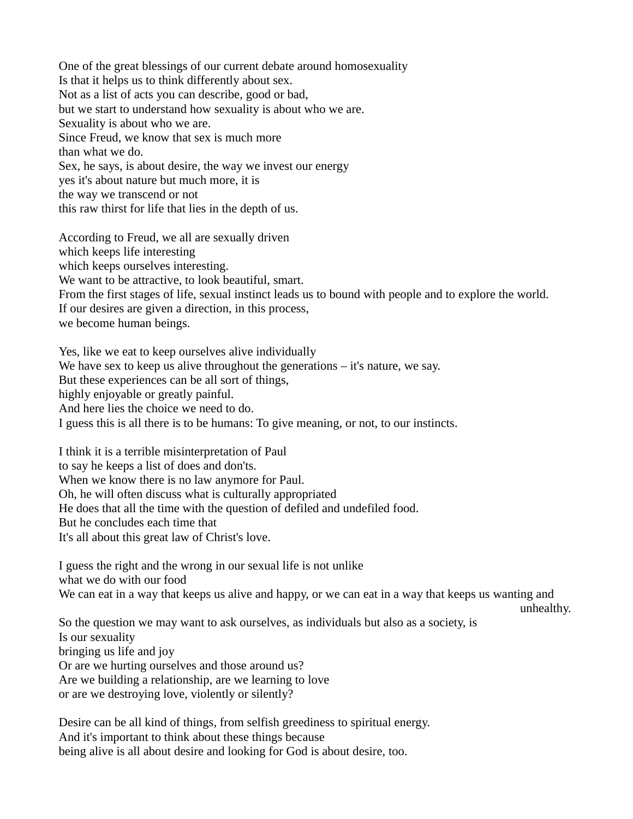One of the great blessings of our current debate around homosexuality Is that it helps us to think differently about sex. Not as a list of acts you can describe, good or bad, but we start to understand how sexuality is about who we are. Sexuality is about who we are. Since Freud, we know that sex is much more than what we do. Sex, he says, is about desire, the way we invest our energy yes it's about nature but much more, it is the way we transcend or not this raw thirst for life that lies in the depth of us. According to Freud, we all are sexually driven

which keeps life interesting which keeps ourselves interesting. We want to be attractive, to look beautiful, smart. From the first stages of life, sexual instinct leads us to bound with people and to explore the world. If our desires are given a direction, in this process, we become human beings.

Yes, like we eat to keep ourselves alive individually We have sex to keep us alive throughout the generations – it's nature, we say. But these experiences can be all sort of things, highly enjoyable or greatly painful. And here lies the choice we need to do. I guess this is all there is to be humans: To give meaning, or not, to our instincts.

I think it is a terrible misinterpretation of Paul to say he keeps a list of does and don'ts. When we know there is no law anymore for Paul. Oh, he will often discuss what is culturally appropriated He does that all the time with the question of defiled and undefiled food. But he concludes each time that It's all about this great law of Christ's love.

I guess the right and the wrong in our sexual life is not unlike what we do with our food We can eat in a way that keeps us alive and happy, or we can eat in a way that keeps us wanting and unhealthy.

So the question we may want to ask ourselves, as individuals but also as a society, is Is our sexuality bringing us life and joy Or are we hurting ourselves and those around us? Are we building a relationship, are we learning to love or are we destroying love, violently or silently?

Desire can be all kind of things, from selfish greediness to spiritual energy. And it's important to think about these things because being alive is all about desire and looking for God is about desire, too.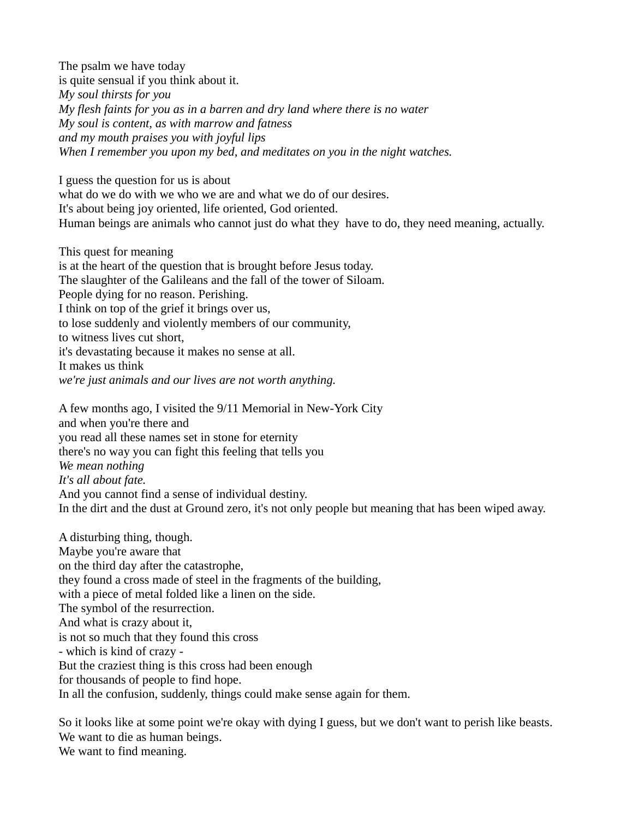The psalm we have today is quite sensual if you think about it. *My soul thirsts for you My flesh faints for you as in a barren and dry land where there is no water My soul is content, as with marrow and fatness and my mouth praises you with joyful lips When I remember you upon my bed, and meditates on you in the night watches.* 

I guess the question for us is about what do we do with we who we are and what we do of our desires. It's about being joy oriented, life oriented, God oriented. Human beings are animals who cannot just do what they have to do, they need meaning, actually.

This quest for meaning is at the heart of the question that is brought before Jesus today. The slaughter of the Galileans and the fall of the tower of Siloam. People dying for no reason. Perishing. I think on top of the grief it brings over us, to lose suddenly and violently members of our community, to witness lives cut short, it's devastating because it makes no sense at all. It makes us think *we're just animals and our lives are not worth anything.*

A few months ago, I visited the 9/11 Memorial in New-York City and when you're there and you read all these names set in stone for eternity there's no way you can fight this feeling that tells you *We mean nothing It's all about fate.* And you cannot find a sense of individual destiny. In the dirt and the dust at Ground zero, it's not only people but meaning that has been wiped away.

A disturbing thing, though. Maybe you're aware that on the third day after the catastrophe, they found a cross made of steel in the fragments of the building, with a piece of metal folded like a linen on the side. The symbol of the resurrection. And what is crazy about it, is not so much that they found this cross - which is kind of crazy - But the craziest thing is this cross had been enough for thousands of people to find hope. In all the confusion, suddenly, things could make sense again for them.

So it looks like at some point we're okay with dying I guess, but we don't want to perish like beasts. We want to die as human beings. We want to find meaning.